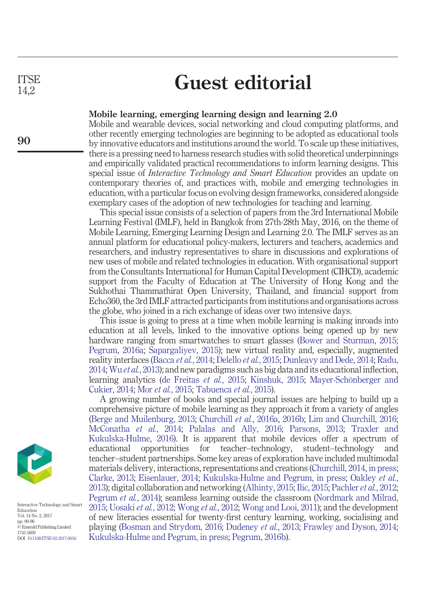**ITSE** 14,2

**90**

## **Guest editorial**

## **Mobile learning, emerging learning design and learning 2.0**

Mobile and wearable devices, social networking and cloud computing platforms, and other recently emerging technologies are beginning to be adopted as educational tools by innovative educators and institutions around the world. To scale up these initiatives, there is a pressing need to harness research studies with solid theoretical underpinnings and empirically validated practical recommendations to inform learning designs. This special issue of *Interactive Technology and Smart Education* provides an update on contemporary theories of, and practices with, mobile and emerging technologies in education, with a particular focus on evolving design frameworks, considered alongside exemplary cases of the adoption of new technologies for teaching and learning.

This special issue consists of a selection of papers from the 3rd International Mobile Learning Festival (IMLF), held in Bangkok from 27th-28th May, 2016, on the theme of Mobile Learning, Emerging Learning Design and Learning 2.0. The IMLF serves as an annual platform for educational policy-makers, lecturers and teachers, academics and researchers, and industry representatives to share in discussions and explorations of new uses of mobile and related technologies in education. With organisational support from the Consultants International for Human Capital Development (CIHCD), academic support from the Faculty of Education at The University of Hong Kong and the Sukhothai Thammathirat Open University, Thailand, and financial support from Echo360, the 3rd IMLF attracted participants from institutions and organisations across the globe, who joined in a rich exchange of ideas over two intensive days.

This issue is going to press at a time when mobile learning is making inroads into education at all levels, linked to the innovative options being opened up by new hardware ranging from smartwatches to smart glasses [\(Bower and Sturman, 2015;](#page-3-0) [Pegrum, 2016a;](#page-5-0) [Sapargaliyev, 2015\)](#page-6-0); new virtual reality and, especially, augmented reality interfaces [\(Bacca](#page-2-0) *et al.*, 2014; [Delello](#page-3-1) *et al.*, 2015; [Dunleavy and Dede, 2014;](#page-3-2) [Radu,](#page-6-1) [2014;](#page-6-1) Wu *et al.*[, 2013\)](#page-6-2); and new paradigms such as big data and its educational inflection, learning analytics [\(de Freitas](#page-3-3) *et al.*, 2015; [Kinshuk, 2015;](#page-4-0) [Mayer-Schönberger and](#page-5-1) [Cukier, 2014;](#page-5-1) Mor *et al.*[, 2015;](#page-5-2) [Tabuenca](#page-6-3) *et al.*, 2015).

A growing number of books and special journal issues are helping to build up a comprehensive picture of mobile learning as they approach it from a variety of angles [\(Berge and Muilenburg, 2013;](#page-2-1) [Churchill](#page-3-4) *et al.*, 2016a, [2016b;](#page-3-5) [Lim and Churchill, 2016;](#page-4-1) [McConatha](#page-5-3) *et al.*, 2014; [Palalas and Ally, 2016;](#page-5-4) [Parsons, 2013;](#page-5-5) [Traxler and](#page-6-4) [Kukulska-Hulme, 2016\)](#page-6-4). It is apparent that mobile devices offer a spectrum of educational opportunities for teacher–technology, student–technology and teacher–student partnerships. Some key areas of exploration have included multimodal materials delivery, interactions, representations and creations [\(Churchill, 2014,](#page-3-6) [in press;](#page-3-7) [Clarke, 2013;](#page-3-8) [Eisenlauer, 2014;](#page-3-9) [Kukulska-Hulme and Pegrum, in press;](#page-4-2) [Oakley](#page-5-6) *et al.*, [2013\)](#page-5-6); digital collaboration and networking [\(Alhinty, 2015;](#page-2-2) [Ilic, 2015;](#page-4-3) [Pachler](#page-5-7) *et al.*, 2012; [Pegrum](#page-5-8) *et al.*, 2014); seamless learning outside the classroom [\(Nordmark and Milrad,](#page-5-9) [2015;](#page-5-9) [Uosaki](#page-6-5) *et al.*, 2012; [Wong](#page-6-6) *et al.*, 2012; [Wong and Looi, 2011\)](#page-6-7); and the development of new literacies essential for twenty-first century learning, working, socialising and playing [\(Bosman and Strydom, 2016;](#page-3-10) [Dudeney](#page-3-11) *et al.*, 2013; [Frawley and Dyson, 2014;](#page-4-4) [Kukulska-Hulme and Pegrum, in press;](#page-4-2) [Pegrum, 2016b\)](#page-5-10).



Interactive Technology and Smart Education Vol. 14 No. 2, 2017 pp. 90-96 © Emerald Publishing Limited 1741-5659 DOI [10.1108/ITSE-02-2017-0016](http://dx.doi.org/10.1108/ITSE-02-2017-0016)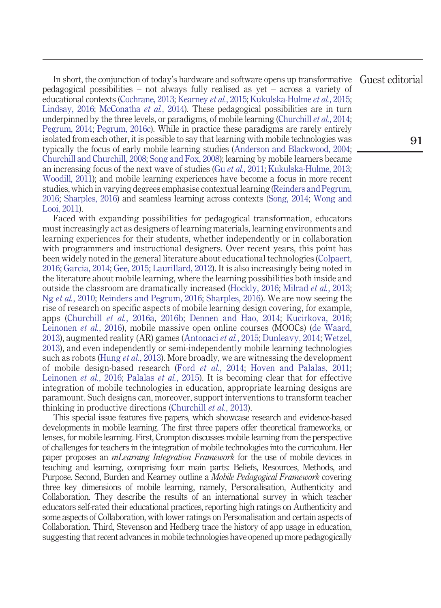In short, the conjunction of today's hardware and software opens up transformative pedagogical possibilities – not always fully realised as yet – across a variety of educational contexts [\(Cochrane, 2013;](#page-3-12) [Kearney](#page-4-5) *et al.*, 2015; [Kukulska-Hulme](#page-4-6) *et al.*, 2015; [Lindsay, 2016;](#page-5-11) [McConatha](#page-5-3) *et al.*, 2014). These pedagogical possibilities are in turn underpinned by the three levels, or paradigms, of mobile learning [\(Churchill](#page-3-13) *et al.*, 2014; [Pegrum, 2014;](#page-5-12) [Pegrum, 2016c\)](#page-5-13). While in practice these paradigms are rarely entirely isolated from each other, it is possible to say that learning with mobile technologies was typically the focus of early mobile learning studies [\(Anderson and Blackwood, 2004;](#page-2-3) [Churchill and Churchill, 2008;](#page-3-14) [Song and Fox, 2008\)](#page-6-8); learning by mobile learners became an increasing focus of the next wave of studies (Gu *et al.*[, 2011;](#page-4-7) [Kukulska-Hulme, 2013;](#page-4-8) [Woodill, 2011\)](#page-6-9); and mobile learning experiences have become a focus in more recent studies, which in varying degrees emphasise contextual learning [\(Reinders and Pegrum,](#page-6-10) [2016;](#page-6-10) [Sharples, 2016\)](#page-6-11) and seamless learning across contexts [\(Song, 2014;](#page-6-12) [Wong and](#page-6-7) [Looi, 2011\)](#page-6-7). Guest editorial

Faced with expanding possibilities for pedagogical transformation, educators must increasingly act as designers of learning materials, learning environments and learning experiences for their students, whether independently or in collaboration with programmers and instructional designers. Over recent years, this point has been widely noted in the general literature about educational technologies [\(Colpaert,](#page-3-15) [2016;](#page-3-15) [Garcia, 2014;](#page-4-9) [Gee, 2015;](#page-4-10) [Laurillard, 2012\)](#page-4-11). It is also increasingly being noted in the literature about mobile learning, where the learning possibilities both inside and outside the classroom are dramatically increased [\(Hockly, 2016;](#page-4-12) [Milrad](#page-5-14) *et al.*, 2013; Ng *et al.*[, 2010;](#page-5-15) [Reinders and Pegrum, 2016;](#page-6-10) [Sharples, 2016\)](#page-6-11). We are now seeing the rise of research on specific aspects of mobile learning design covering, for example, apps [\(Churchill](#page-3-4) *et al.*, 2016a, [2016b;](#page-3-5) [Dennen and Hao, 2014;](#page-3-16) [Kucirkova, 2016;](#page-4-13) [Leinonen](#page-4-14) *et al.*, 2016), mobile massive open online courses (MOOCs) [\(de Waard,](#page-3-17) [2013\)](#page-3-17), augmented reality (AR) games [\(Antonaci](#page-2-4) *et al.*, 2015; [Dunleavy, 2014;](#page-3-18) [Wetzel,](#page-6-13) [2013\)](#page-6-13), and even independently or semi-independently mobile learning technologies such as robots (Hung *et al.*[, 2013\)](#page-4-15). More broadly, we are witnessing the development of mobile design-based research (Ford *et al.*[, 2014;](#page-4-16) [Hoven and Palalas, 2011;](#page-4-17) [Leinonen](#page-4-14) *et al.*, 2016; [Palalas](#page-5-16) *et al.*, 2015). It is becoming clear that for effective integration of mobile technologies in education, appropriate learning designs are paramount. Such designs can, moreover, support interventions to transform teacher thinking in productive directions [\(Churchill](#page-3-19) *et al.*, 2013).

This special issue features five papers, which showcase research and evidence-based developments in mobile learning. The first three papers offer theoretical frameworks, or lenses, for mobile learning. First, Crompton discusses mobile learning from the perspective of challenges for teachers in the integration of mobile technologies into the curriculum. Her paper proposes an *mLearning Integration Framework* for the use of mobile devices in teaching and learning, comprising four main parts: Beliefs, Resources, Methods, and Purpose. Second, Burden and Kearney outline a *Mobile Pedagogical Framework* covering three key dimensions of mobile learning, namely, Personalisation, Authenticity and Collaboration. They describe the results of an international survey in which teacher educators self-rated their educational practices, reporting high ratings on Authenticity and some aspects of Collaboration, with lower ratings on Personalisation and certain aspects of Collaboration. Third, Stevenson and Hedberg trace the history of app usage in education, suggesting that recent advances in mobile technologies have opened up more pedagogically

**91**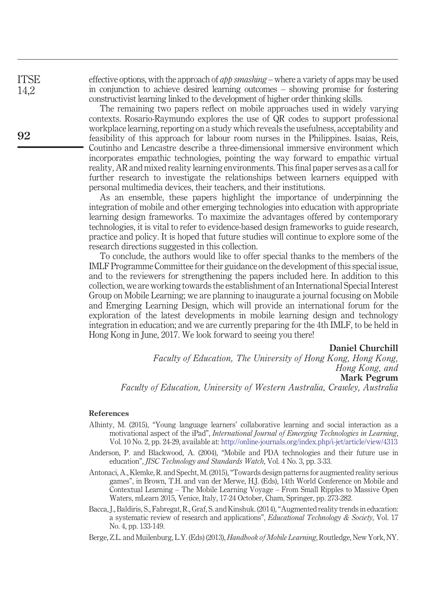effective options, with the approach of *app smashing* – where a variety of apps may be used in conjunction to achieve desired learning outcomes – showing promise for fostering constructivist learning linked to the development of higher order thinking skills.

The remaining two papers reflect on mobile approaches used in widely varying contexts. Rosario-Raymundo explores the use of QR codes to support professional workplace learning, reporting on a study which reveals the usefulness, acceptability and feasibility of this approach for labour room nurses in the Philippines. Isaías, Reis, Coutinho and Lencastre describe a three-dimensional immersive environment which incorporates empathic technologies, pointing the way forward to empathic virtual reality, AR and mixed reality learning environments. This final paper serves as a call for further research to investigate the relationships between learners equipped with personal multimedia devices, their teachers, and their institutions.

As an ensemble, these papers highlight the importance of underpinning the integration of mobile and other emerging technologies into education with appropriate learning design frameworks. To maximize the advantages offered by contemporary technologies, it is vital to refer to evidence-based design frameworks to guide research, practice and policy. It is hoped that future studies will continue to explore some of the research directions suggested in this collection.

To conclude, the authors would like to offer special thanks to the members of the IMLF Programme Committee for their guidance on the development of this special issue, and to the reviewers for strengthening the papers included here. In addition to this collection, we are working towards the establishment of an International Special Interest Group on Mobile Learning; we are planning to inaugurate a journal focusing on Mobile and Emerging Learning Design, which will provide an international forum for the exploration of the latest developments in mobile learning design and technology integration in education; and we are currently preparing for the 4th IMLF, to be held in Hong Kong in June, 2017. We look forward to seeing you there!

**Daniel Churchill**

*Faculty of Education, The University of Hong Kong, Hong Kong, Hong Kong, and* **Mark Pegrum**

*Faculty of Education, University of Western Australia, Crawley, Australia*

## **References**

- <span id="page-2-2"></span>Alhinty, M. (2015), "Young language learners' collaborative learning and social interaction as a motivational aspect of the iPad", *International Journal of Emerging Technologies in Learning*, Vol. 10 No. 2, pp. 24-29, available at: <http://online-journals.org/index.php/i-jet/article/view/4313>
- <span id="page-2-3"></span>Anderson, P. and Blackwood, A. (2004), "Mobile and PDA technologies and their future use in education", *JISC Technology and Standards Watch*, Vol. 4 No. 3, pp. 3-33.
- <span id="page-2-4"></span>Antonaci, A., Klemke, R. and Specht, M. (2015), "Towards design patterns for augmented reality serious games", in Brown, T.H. and van der Merwe, H.J. (Eds), 14th World Conference on Mobile and Contextual Learning – The Mobile Learning Voyage – From Small Ripples to Massive Open Waters, mLearn 2015, Venice, Italy, 17-24 October, Cham, Springer, pp. 273-282.
- <span id="page-2-0"></span>Bacca, J., Baldiris, S., Fabregat, R., Graf, S. and Kinshuk. (2014), "Augmented reality trends in education: a systematic review of research and applications", *Educational Technology & Society*, Vol. 17 No. 4, pp. 133-149.

<span id="page-2-1"></span>Berge, Z.L. and Muilenburg, L.Y. (Eds) (2013), *Handbook of Mobile Learning*, Routledge, New York, NY.

**92**

**ITSE** 14,2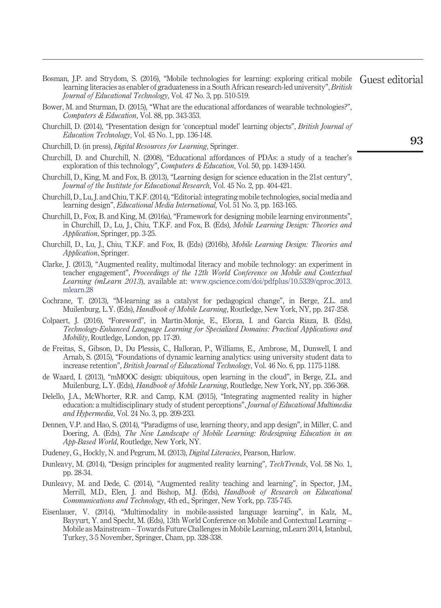- <span id="page-3-10"></span>Bosman, J.P. and Strydom, S. (2016), "Mobile technologies for learning: exploring critical mobile learning literacies as enabler of graduateness in a South African research-led university", *British Journal of Educational Technology*, Vol. 47 No. 3, pp. 510-519. Guest editorial
- <span id="page-3-0"></span>Bower, M. and Sturman, D. (2015), "What are the educational affordances of wearable technologies?", *Computers & Education*, Vol. 88, pp. 343-353.
- <span id="page-3-6"></span>Churchill, D. (2014), "Presentation design for 'conceptual model' learning objects", *British Journal of Education Technology*, Vol. 45 No. 1, pp. 136-148.
- <span id="page-3-7"></span>Churchill, D. (in press), *Digital Resources for Learning*, Springer.
- <span id="page-3-14"></span>Churchill, D. and Churchill, N. (2008), "Educational affordances of PDAs: a study of a teacher's exploration of this technology", *Computers & Education*, Vol. 50, pp. 1439-1450.
- <span id="page-3-19"></span>Churchill, D., King, M. and Fox, B. (2013), "Learning design for science education in the 21st century", *Journal of the Institute for Educational Research*, Vol. 45 No. 2, pp. 404-421.
- <span id="page-3-13"></span>Churchill, D., Lu, J. and Chiu, T.K.F. (2014), "Editorial: integrating mobile technologies, social media and learning design", *Educational Media International*, Vol. 51 No. 3, pp. 163-165.
- <span id="page-3-4"></span>Churchill, D., Fox, B. and King, M. (2016a), "Framework for designing mobile learning environments", in Churchill, D., Lu, J., Chiu, T.K.F. and Fox, B. (Eds), *Mobile Learning Design: Theories and Application*, Springer, pp. 3-25.
- <span id="page-3-5"></span>Churchill, D., Lu, J., Chiu, T.K.F. and Fox, B. (Eds) (2016b), *Mobile Learning Design: Theories and Application*, Springer.
- <span id="page-3-8"></span>Clarke, J. (2013), "Augmented reality, multimodal literacy and mobile technology: an experiment in teacher engagement", *Proceedings of the 12th World Conference on Mobile and Contextual Learning (mLearn 2013*), available at: [www.qscience.com/doi/pdfplus/10.5339/qproc.2013.](http://www.qscience.com/doi/pdfplus/10.5339/qproc.2013.mlearn.28) [mlearn.28](http://www.qscience.com/doi/pdfplus/10.5339/qproc.2013.mlearn.28)
- <span id="page-3-12"></span>Cochrane, T. (2013), "M-learning as a catalyst for pedagogical change", in Berge, Z.L. and Muilenburg, L.Y. (Eds), *Handbook of Mobile Learning*, Routledge, New York, NY, pp. 247-258.
- <span id="page-3-15"></span>Colpaert, J. (2016), "Foreword", in Martín-Monje, E., Elorza, I. and García Riaza, B. (Eds), *Technology-Enhanced Language Learning for Specialized Domains: Practical Applications and Mobility*, Routledge, London, pp. 17-20.
- <span id="page-3-3"></span>de Freitas, S., Gibson, D., Du Plessis, C., Halloran, P., Williams, E., Ambrose, M., Dunwell, I. and Arnab, S. (2015), "Foundations of dynamic learning analytics: using university student data to increase retention", *British Journal of Educational Technology*, Vol. 46 No. 6, pp. 1175-1188.
- <span id="page-3-17"></span>de Waard, I. (2013), "mMOOC design: ubiquitous, open learning in the cloud", in Berge, Z.L. and Muilenburg, L.Y. (Eds), *Handbook of Mobile Learning*, Routledge, New York, NY, pp. 356-368.
- <span id="page-3-1"></span>Delello, J.A., McWhorter, R.R. and Camp, K.M. (2015), "Integrating augmented reality in higher education: a multidisciplinary study of student perceptions", *Journal of Educational Multimedia and Hypermedia*, Vol. 24 No. 3, pp. 209-233.
- <span id="page-3-16"></span>Dennen, V.P. and Hao, S. (2014), "Paradigms of use, learning theory, and app design", in Miller, C. and Doering, A. (Eds), *The New Landscape of Mobile Learning: Redesigning Education in an App-Based World*, Routledge, New York, NY.
- <span id="page-3-18"></span><span id="page-3-11"></span>Dudeney, G., Hockly, N. and Pegrum, M. (2013), *Digital Literacies*, Pearson, Harlow.
- Dunleavy, M. (2014), "Design principles for augmented reality learning", *TechTrends*, Vol. 58 No. 1, pp. 28-34.
- <span id="page-3-2"></span>Dunleavy, M. and Dede, C. (2014), "Augmented reality teaching and learning", in Spector, J.M., Merrill, M.D., Elen, J. and Bishop, M.J. (Eds), *Handbook of Research on Educational Communications and Technology*, 4th ed., Springer, New York, pp. 735-745.
- <span id="page-3-9"></span>Eisenlauer, V. (2014), "Multimodality in mobile-assisted language learning", in Kalz, M., Bayyurt, Y. and Specht, M. (Eds), 13th World Conference on Mobile and Contextual Learning – Mobile as Mainstream – Towards Future Challenges in Mobile Learning, mLearn 2014, Istanbul, Turkey, 3-5 November, Springer, Cham, pp. 328-338.

**93**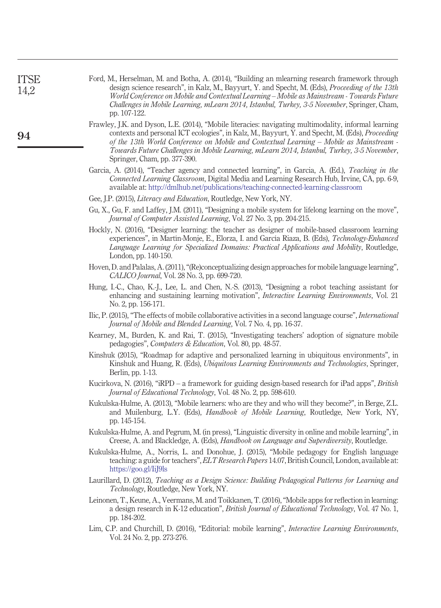<span id="page-4-17"></span><span id="page-4-16"></span><span id="page-4-15"></span><span id="page-4-14"></span><span id="page-4-13"></span><span id="page-4-12"></span><span id="page-4-11"></span><span id="page-4-10"></span><span id="page-4-9"></span><span id="page-4-8"></span><span id="page-4-7"></span><span id="page-4-6"></span><span id="page-4-5"></span><span id="page-4-4"></span><span id="page-4-3"></span><span id="page-4-2"></span><span id="page-4-1"></span><span id="page-4-0"></span>

| Ford, M., Herselman, M. and Botha, A. (2014), "Building an mlearning research framework through<br>design science research", in Kalz, M., Bayyurt, Y. and Specht, M. (Eds), <i>Proceeding of the 13th</i><br>World Conference on Mobile and Contextual Learning – Mobile as Mainstream - Towards Future<br>Challenges in Mobile Learning, mLearn 2014, Istanbul, Turkey, 3-5 November, Springer, Cham, |
|--------------------------------------------------------------------------------------------------------------------------------------------------------------------------------------------------------------------------------------------------------------------------------------------------------------------------------------------------------------------------------------------------------|
| Frawley, J.K. and Dyson, L.E. (2014), "Mobile literacies: navigating multimodality, informal learning<br>contexts and personal ICT ecologies", in Kalz, M., Bayyurt, Y. and Specht, M. (Eds), Proceeding<br>of the 13th World Conference on Mobile and Contextual Learning – Mobile as Mainstream -<br>Towards Future Challenges in Mobile Learning, mLearn 2014, Istanbul, Turkey, 3-5 November,      |
| Garcia, A. (2014), "Teacher agency and connected learning", in Garcia, A. (Ed.), Teaching in the<br>Connected Learning Classroom, Digital Media and Learning Research Hub, Irvine, CA, pp. 6-9,<br>available at: http://dmlhub.net/publications/teaching-connected-learning-classroom                                                                                                                  |
|                                                                                                                                                                                                                                                                                                                                                                                                        |
| Gu, X., Gu, F. and Laffey, J.M. (2011), "Designing a mobile system for lifelong learning on the move",                                                                                                                                                                                                                                                                                                 |
| Hockly, N. (2016), "Designer learning: the teacher as designer of mobile-based classroom learning<br>experiences", in Martín-Monje, E., Elorza, I. and García Riaza, B. (Eds), Technology-Enhanced<br>Language Learning for Specialized Domains: Practical Applications and Mobility, Routledge,                                                                                                       |
| Hoven, D. and Palalas, A. (2011), "(Re)conceptualizing design approaches for mobile language learning",                                                                                                                                                                                                                                                                                                |
| Hung, I.-C., Chao, K.-J., Lee, L. and Chen, N.-S. (2013), "Designing a robot teaching assistant for<br>enhancing and sustaining learning motivation", <i>Interactive Learning Environments</i> , Vol. 21                                                                                                                                                                                               |
| Ilic, P. (2015), "The effects of mobile collaborative activities in a second language course", <i>International</i>                                                                                                                                                                                                                                                                                    |
| Kearney, M., Burden, K. and Rai, T. (2015), "Investigating teachers' adoption of signature mobile                                                                                                                                                                                                                                                                                                      |
| Kinshuk (2015), "Roadmap for adaptive and personalized learning in ubiquitous environments", in<br>Kinshuk and Huang, R. (Eds), <i>Ubiquitous Learning Environments and Technologies</i> , Springer,                                                                                                                                                                                                   |
| Kucirkova, N. (2016), "iRPD – a framework for guiding design-based research for iPad apps", <i>British</i>                                                                                                                                                                                                                                                                                             |
| Kukulska-Hulme, A. (2013), "Mobile learners: who are they and who will they become?", in Berge, Z.L.<br>and Muilenburg, L.Y. (Eds), <i>Handbook of Mobile Learning</i> , Routledge, New York, NY,                                                                                                                                                                                                      |
| Kukulska-Hulme, A. and Pegrum, M. (in press), "Linguistic diversity in online and mobile learning", in<br>Creese, A. and Blackledge, A. (Eds), Handbook on Language and Superdiversity, Routledge.                                                                                                                                                                                                     |
| Kukulska-Hulme, A., Norris, L. and Donohue, J. (2015), "Mobile pedagogy for English language<br>teaching: a guide for teachers", <i>ELT Research Papers</i> 14.07, British Council, London, available at:                                                                                                                                                                                              |
| Laurillard, D. (2012), Teaching as a Design Science: Building Pedagogical Patterns for Learning and                                                                                                                                                                                                                                                                                                    |
| Leinonen, T., Keune, A., Veermans, M. and Toikkanen, T. (2016), "Mobile apps for reflection in learning:<br>a design research in K-12 education", <i>British Journal of Educational Technology</i> , Vol. 47 No. 1,                                                                                                                                                                                    |
| Lim, C.P. and Churchill, D. (2016), "Editorial: mobile learning", Interactive Learning Environments,                                                                                                                                                                                                                                                                                                   |
|                                                                                                                                                                                                                                                                                                                                                                                                        |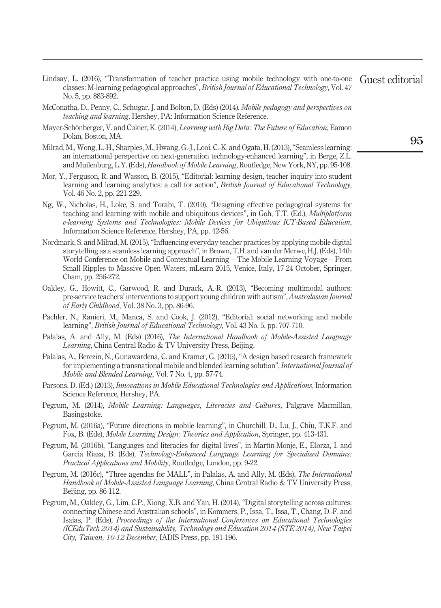- <span id="page-5-11"></span>Lindsay, L. (2016), "Transformation of teacher practice using mobile technology with one-to-one classes: M-learning pedagogical approaches", *British Journal of Educational Technology*, Vol. 47 No. 5, pp. 883-892. Guest editorial
- <span id="page-5-3"></span>McConatha, D., Penny, C., Schugar, J. and Bolton, D. (Eds) (2014), *Mobile pedagogy and perspectives on teaching and learning*. Hershey, PA: Information Science Reference.
- <span id="page-5-1"></span>Mayer-Schönberger, V. and Cukier, K. (2014), *Learning with Big Data: The Future of Education*, Eamon Dolan, Boston, MA.
- <span id="page-5-14"></span>Milrad, M., Wong, L.-H., Sharples, M., Hwang, G.-J., Looi, C.-K. and Ogata, H. (2013), "Seamless learning: an international perspective on next-generation technology-enhanced learning", in Berge, Z.L. and Muilenburg, L.Y. (Eds), *Handbook of Mobile Learning*, Routledge, New York, NY, pp. 95-108.
- <span id="page-5-2"></span>Mor, Y., Ferguson, R. and Wasson, B. (2015), "Editorial: learning design, teacher inquiry into student learning and learning analytics: a call for action", *British Journal of Educational Technology*, Vol. 46 No. 2, pp. 221-229.
- <span id="page-5-15"></span>Ng, W., Nicholas, H., Loke, S. and Torabi, T. (2010), "Designing effective pedagogical systems for teaching and learning with mobile and ubiquitous devices", in Goh, T.T. (Ed.), *Multiplatform e-learning Systems and Technologies: Mobile Devices for Ubiquitous ICT-Based Education*, Information Science Reference, Hershey, PA, pp. 42-56.
- <span id="page-5-9"></span>Nordmark, S. and Milrad, M. (2015), "Influencing everyday teacher practices by applying mobile digital storytelling as a seamless learning approach", in Brown, T.H. and van der Merwe, H.J. (Eds), 14th World Conference on Mobile and Contextual Learning – The Mobile Learning Voyage – From Small Ripples to Massive Open Waters, mLearn 2015, Venice, Italy, 17-24 October, Springer, Cham, pp. 256-272.
- <span id="page-5-6"></span>Oakley, G., Howitt, C., Garwood, R. and Durack, A.-R. (2013), "Becoming multimodal authors: pre-service teachers' interventions to support young children with autism", *Australasian Journal of Early Childhood*, Vol. 38 No. 3, pp. 86-96.
- <span id="page-5-7"></span>Pachler, N., Ranieri, M., Manca, S. and Cook, J. (2012), "Editorial: social networking and mobile learning", *British Journal of Educational Technology*, Vol. 43 No. 5, pp. 707-710.
- <span id="page-5-4"></span>Palalas, A. and Ally, M. (Eds) (2016), *The International Handbook of Mobile-Assisted Language Learning*, China Central Radio & TV University Press, Beijing.
- <span id="page-5-16"></span>Palalas, A., Berezin, N., Gunawardena, C. and Kramer, G. (2015), "A design based research framework for implementing a transnational mobile and blended learning solution", *International Journal of Mobile and Blended Learning*, Vol. 7 No. 4, pp. 57-74.
- <span id="page-5-5"></span>Parsons, D. (Ed.) (2013), *Innovations in Mobile Educational Technologies and Applications*, Information Science Reference, Hershey, PA.
- <span id="page-5-12"></span>Pegrum, M. (2014), *Mobile Learning: Languages, Literacies and Cultures*, Palgrave Macmillan, Basingstoke.
- <span id="page-5-0"></span>Pegrum, M. (2016a), "Future directions in mobile learning", in Churchill, D., Lu, J., Chiu, T.K.F. and Fox, B. (Eds), *Mobile Learning Design: Theories and Application*, Springer, pp. 413-431.
- <span id="page-5-10"></span>Pegrum, M. (2016b), "Languages and literacies for digital lives", in Martín-Monje, E., Elorza, I. and García Riaza, B. (Eds), *Technology-Enhanced Language Learning for Specialized Domains: Practical Applications and Mobility*, Routledge, London, pp. 9-22.
- <span id="page-5-13"></span>Pegrum, M. (2016c), "Three agendas for MALL", in Palalas, A. and Ally, M. (Eds), *The International Handbook of Mobile-Assisted Language Learning*, China Central Radio & TV University Press, Beijing, pp. 86-112.
- <span id="page-5-8"></span>Pegrum, M., Oakley, G., Lim, C.P., Xiong, X.B. and Yan, H. (2014), "Digital storytelling across cultures: connecting Chinese and Australian schools", in Kommers, P., Issa, T., Issa, T., Chang, D.-F. and Isaías, P. (Eds), *Proceedings of the International Conferences on Educational Technologies (ICEduTech 2014) and Sustainability, Technology and Education 2014 (STE 2014), New Taipei City, Taiwan, 10-12 December*, IADIS Press, pp. 191-196.

**95**